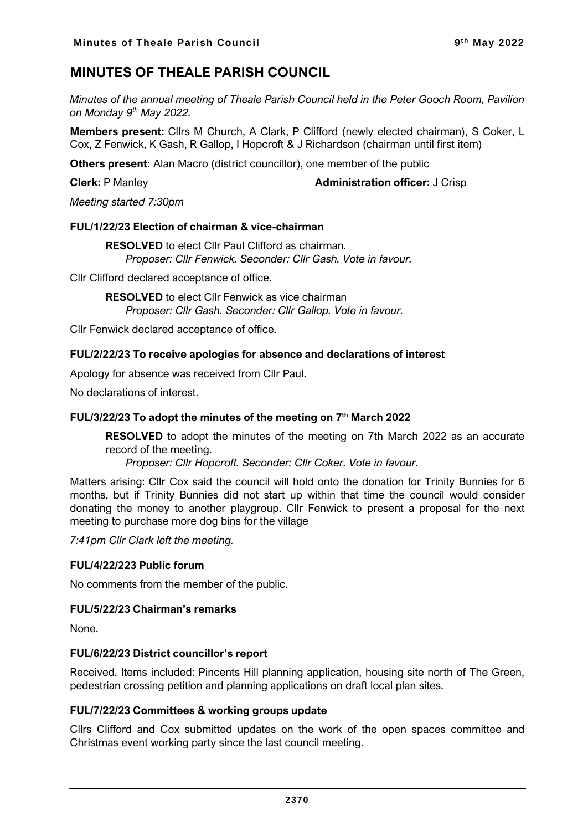# **MINUTES OF THEALE PARISH COUNCIL**

*Minutes of the annual meeting of Theale Parish Council held in the Peter Gooch Room, Pavilion on Monday 9 th May 2022.*

**Members present:** Cllrs M Church, A Clark, P Clifford (newly elected chairman), S Coker, L Cox, Z Fenwick, K Gash, R Gallop, I Hopcroft & J Richardson (chairman until first item)

**Others present:** Alan Macro (district councillor), one member of the public

**Clerk:** P Manley **Administration officer:** J Crisp

*Meeting started 7:30pm*

## **FUL/1/22/23 Election of chairman & vice-chairman**

**RESOLVED** to elect Cllr Paul Clifford as chairman. *Proposer: Cllr Fenwick. Seconder: Cllr Gash. Vote in favour.*

Cllr Clifford declared acceptance of office.

**RESOLVED** to elect Cllr Fenwick as vice chairman *Proposer: Cllr Gash. Seconder: Cllr Gallop. Vote in favour.*

Cllr Fenwick declared acceptance of office.

## **FUL/2/22/23 To receive apologies for absence and declarations of interest**

Apology for absence was received from Cllr Paul.

No declarations of interest.

## **FUL/3/22/23 To adopt the minutes of the meeting on 7 th March 2022**

**RESOLVED** to adopt the minutes of the meeting on 7th March 2022 as an accurate record of the meeting.

*Proposer: Cllr Hopcroft. Seconder: Cllr Coker. Vote in favour.*

Matters arising: Cllr Cox said the council will hold onto the donation for Trinity Bunnies for 6 months, but if Trinity Bunnies did not start up within that time the council would consider donating the money to another playgroup. Cllr Fenwick to present a proposal for the next meeting to purchase more dog bins for the village

*7:41pm Cllr Clark left the meeting.*

## **FUL/4/22/223 Public forum**

No comments from the member of the public.

## **FUL/5/22/23 Chairman's remarks**

None.

## **FUL/6/22/23 District councillor's report**

Received. Items included: Pincents Hill planning application, housing site north of The Green, pedestrian crossing petition and planning applications on draft local plan sites.

#### **FUL/7/22/23 Committees & working groups update**

Cllrs Clifford and Cox submitted updates on the work of the open spaces committee and Christmas event working party since the last council meeting.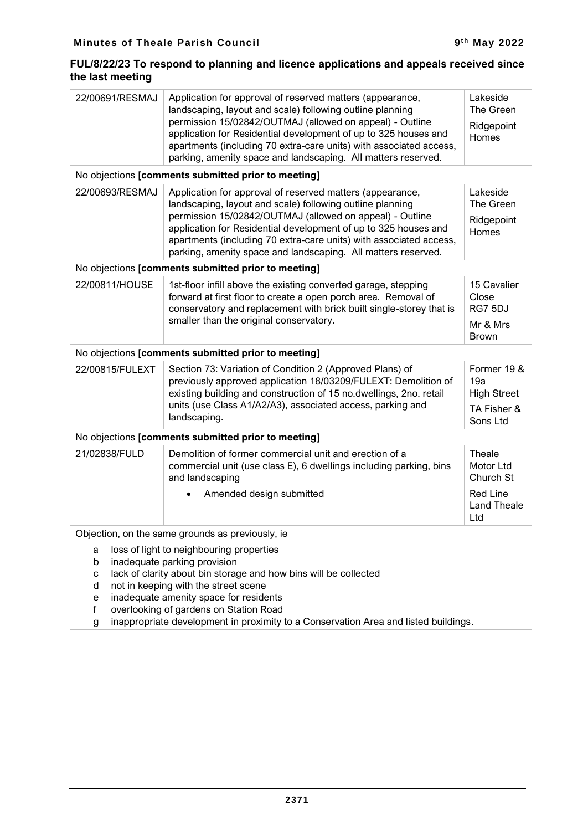## **FUL/8/22/23 To respond to planning and licence applications and appeals received since the last meeting**

| 22/00691/RESMAJ                                     | Application for approval of reserved matters (appearance,<br>landscaping, layout and scale) following outline planning<br>permission 15/02842/OUTMAJ (allowed on appeal) - Outline<br>application for Residential development of up to 325 houses and<br>apartments (including 70 extra-care units) with associated access,<br>parking, amenity space and landscaping. All matters reserved. | Lakeside<br>The Green<br>Ridgepoint<br>Homes                        |  |
|-----------------------------------------------------|----------------------------------------------------------------------------------------------------------------------------------------------------------------------------------------------------------------------------------------------------------------------------------------------------------------------------------------------------------------------------------------------|---------------------------------------------------------------------|--|
|                                                     | No objections [comments submitted prior to meeting]                                                                                                                                                                                                                                                                                                                                          |                                                                     |  |
| 22/00693/RESMAJ                                     | Application for approval of reserved matters (appearance,<br>landscaping, layout and scale) following outline planning<br>permission 15/02842/OUTMAJ (allowed on appeal) - Outline<br>application for Residential development of up to 325 houses and<br>apartments (including 70 extra-care units) with associated access,<br>parking, amenity space and landscaping. All matters reserved. | Lakeside<br>The Green<br>Ridgepoint<br>Homes                        |  |
|                                                     | No objections [comments submitted prior to meeting]                                                                                                                                                                                                                                                                                                                                          |                                                                     |  |
| 22/00811/HOUSE                                      | 1st-floor infill above the existing converted garage, stepping<br>forward at first floor to create a open porch area. Removal of<br>conservatory and replacement with brick built single-storey that is<br>smaller than the original conservatory.                                                                                                                                           | 15 Cavalier<br>Close<br>RG7 5DJ<br>Mr & Mrs<br><b>Brown</b>         |  |
|                                                     | No objections [comments submitted prior to meeting]                                                                                                                                                                                                                                                                                                                                          |                                                                     |  |
| 22/00815/FULEXT                                     | Section 73: Variation of Condition 2 (Approved Plans) of<br>previously approved application 18/03209/FULEXT: Demolition of<br>existing building and construction of 15 no.dwellings, 2no. retail<br>units (use Class A1/A2/A3), associated access, parking and<br>landscaping.                                                                                                               | Former 19 &<br>19a<br><b>High Street</b><br>TA Fisher &<br>Sons Ltd |  |
| No objections [comments submitted prior to meeting] |                                                                                                                                                                                                                                                                                                                                                                                              |                                                                     |  |
| 21/02838/FULD                                       | Demolition of former commercial unit and erection of a<br>commercial unit (use class E), 6 dwellings including parking, bins<br>and landscaping                                                                                                                                                                                                                                              | Theale<br>Motor Ltd<br>Church St                                    |  |
|                                                     | Amended design submitted                                                                                                                                                                                                                                                                                                                                                                     | <b>Red Line</b><br><b>Land Theale</b><br>Ltd                        |  |
| Objection, on the same grounds as previously, ie    |                                                                                                                                                                                                                                                                                                                                                                                              |                                                                     |  |
| a<br>b<br>С<br>d<br>е<br>f<br>g                     | loss of light to neighbouring properties<br>inadequate parking provision<br>lack of clarity about bin storage and how bins will be collected<br>not in keeping with the street scene<br>inadequate amenity space for residents<br>overlooking of gardens on Station Road<br>inappropriate development in proximity to a Conservation Area and listed buildings.                              |                                                                     |  |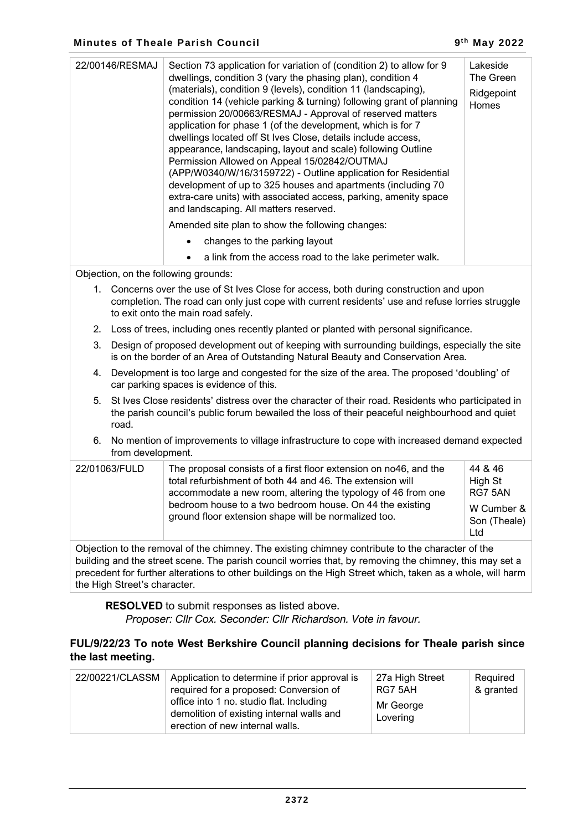| 22/00146/RESMAJ<br>Section 73 application for variation of (condition 2) to allow for 9<br>Lakeside<br>dwellings, condition 3 (vary the phasing plan), condition 4<br>The Green<br>(materials), condition 9 (levels), condition 11 (landscaping),<br>Ridgepoint<br>condition 14 (vehicle parking & turning) following grant of planning<br>Homes<br>permission 20/00663/RESMAJ - Approval of reserved matters<br>application for phase 1 (of the development, which is for 7<br>dwellings located off St Ives Close, details include access,<br>appearance, landscaping, layout and scale) following Outline<br>Permission Allowed on Appeal 15/02842/OUTMAJ<br>(APP/W0340/W/16/3159722) - Outline application for Residential<br>development of up to 325 houses and apartments (including 70<br>extra-care units) with associated access, parking, amenity space<br>and landscaping. All matters reserved.<br>Amended site plan to show the following changes:<br>changes to the parking layout<br>a link from the access road to the lake perimeter walk.<br>$\bullet$ |  |  |
|---------------------------------------------------------------------------------------------------------------------------------------------------------------------------------------------------------------------------------------------------------------------------------------------------------------------------------------------------------------------------------------------------------------------------------------------------------------------------------------------------------------------------------------------------------------------------------------------------------------------------------------------------------------------------------------------------------------------------------------------------------------------------------------------------------------------------------------------------------------------------------------------------------------------------------------------------------------------------------------------------------------------------------------------------------------------------|--|--|
| Objection on the following grounder                                                                                                                                                                                                                                                                                                                                                                                                                                                                                                                                                                                                                                                                                                                                                                                                                                                                                                                                                                                                                                       |  |  |

Objection, on the following grounds:

- 1. Concerns over the use of St Ives Close for access, both during construction and upon completion. The road can only just cope with current residents' use and refuse lorries struggle to exit onto the main road safely.
- 2. Loss of trees, including ones recently planted or planted with personal significance.
- 3. Design of proposed development out of keeping with surrounding buildings, especially the site is on the border of an Area of Outstanding Natural Beauty and Conservation Area.
- 4. Development is too large and congested for the size of the area. The proposed 'doubling' of car parking spaces is evidence of this.
- 5. St Ives Close residents' distress over the character of their road. Residents who participated in the parish council's public forum bewailed the loss of their peaceful neighbourhood and quiet road.
- 6. No mention of improvements to village infrastructure to cope with increased demand expected from development.

| 22/01063/FULD | The proposal consists of a first floor extension on no46, and the<br>total refurbishment of both 44 and 46. The extension will<br>accommodate a new room, altering the typology of 46 from one<br>bedroom house to a two bedroom house. On 44 the existing<br>ground floor extension shape will be normalized too. | 44 & 46<br>High St<br>RG7 5AN<br>W Cumber &<br>Son (Theale)<br>Ltd |
|---------------|--------------------------------------------------------------------------------------------------------------------------------------------------------------------------------------------------------------------------------------------------------------------------------------------------------------------|--------------------------------------------------------------------|
|               |                                                                                                                                                                                                                                                                                                                    |                                                                    |

Objection to the removal of the chimney. The existing chimney contribute to the character of the building and the street scene. The parish council worries that, by removing the chimney, this may set a precedent for further alterations to other buildings on the High Street which, taken as a whole, will harm the High Street's character.

**RESOLVED** to submit responses as listed above.

*Proposer: Cllr Cox. Seconder: Cllr Richardson. Vote in favour.*

## **FUL/9/22/23 To note West Berkshire Council planning decisions for Theale parish since the last meeting.**

| 22/00221/CLASSM | Application to determine if prior approval is<br>required for a proposed: Conversion of<br>office into 1 no. studio flat. Including<br>demolition of existing internal walls and<br>erection of new internal walls. | 27a High Street<br>RG7 5AH<br>Mr George<br>Lovering | Required<br>& granted |
|-----------------|---------------------------------------------------------------------------------------------------------------------------------------------------------------------------------------------------------------------|-----------------------------------------------------|-----------------------|
|-----------------|---------------------------------------------------------------------------------------------------------------------------------------------------------------------------------------------------------------------|-----------------------------------------------------|-----------------------|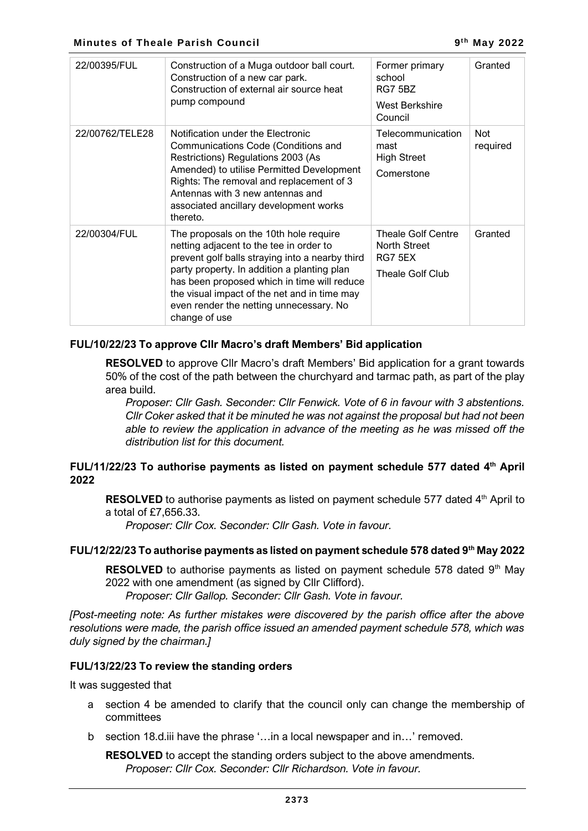| 22/00395/FUL    | Construction of a Muga outdoor ball court.<br>Construction of a new car park.<br>Construction of external air source heat<br>pump compound                                                                                                                                                                                                     | Former primary<br>school<br>RG7 5BZ<br>West Berkshire<br>Council         | Granted                |
|-----------------|------------------------------------------------------------------------------------------------------------------------------------------------------------------------------------------------------------------------------------------------------------------------------------------------------------------------------------------------|--------------------------------------------------------------------------|------------------------|
| 22/00762/TELE28 | Notification under the Electronic<br>Communications Code (Conditions and<br>Restrictions) Regulations 2003 (As<br>Amended) to utilise Permitted Development<br>Rights: The removal and replacement of 3<br>Antennas with 3 new antennas and<br>associated ancillary development works<br>thereto.                                              | Telecommunication<br>mast<br><b>High Street</b><br>Comerstone            | <b>Not</b><br>required |
| 22/00304/FUL    | The proposals on the 10th hole require<br>netting adjacent to the tee in order to<br>prevent golf balls straying into a nearby third<br>party property. In addition a planting plan<br>has been proposed which in time will reduce<br>the visual impact of the net and in time may<br>even render the netting unnecessary. No<br>change of use | Theale Golf Centre<br><b>North Street</b><br>RG7 5EX<br>Theale Golf Club | Granted                |

## **FUL/10/22/23 To approve Cllr Macro's draft Members' Bid application**

**RESOLVED** to approve Cllr Macro's draft Members' Bid application for a grant towards 50% of the cost of the path between the churchyard and tarmac path, as part of the play area build.

*Proposer: Cllr Gash. Seconder: Cllr Fenwick. Vote of 6 in favour with 3 abstentions. Cllr Coker asked that it be minuted he was not against the proposal but had not been able to review the application in advance of the meeting as he was missed off the distribution list for this document.*

## **FUL/11/22/23 To authorise payments as listed on payment schedule 577 dated 4 th April 2022**

**RESOLVED** to authorise payments as listed on payment schedule 577 dated 4<sup>th</sup> April to a total of £7,656.33.

*Proposer: Cllr Cox. Seconder: Cllr Gash. Vote in favour.*

## **FUL/12/22/23 To authorise payments as listed on payment schedule 578 dated 9th May 2022**

**RESOLVED** to authorise payments as listed on payment schedule 578 dated 9<sup>th</sup> May 2022 with one amendment (as signed by Cllr Clifford).

*Proposer: Cllr Gallop. Seconder: Cllr Gash. Vote in favour.*

*[Post-meeting note: As further mistakes were discovered by the parish office after the above resolutions were made, the parish office issued an amended payment schedule 578, which was duly signed by the chairman.]*

## **FUL/13/22/23 To review the standing orders**

It was suggested that

- a section 4 be amended to clarify that the council only can change the membership of committees
- b section 18.d.iii have the phrase '…in a local newspaper and in…' removed.

**RESOLVED** to accept the standing orders subject to the above amendments. *Proposer: Cllr Cox. Seconder: Cllr Richardson. Vote in favour.*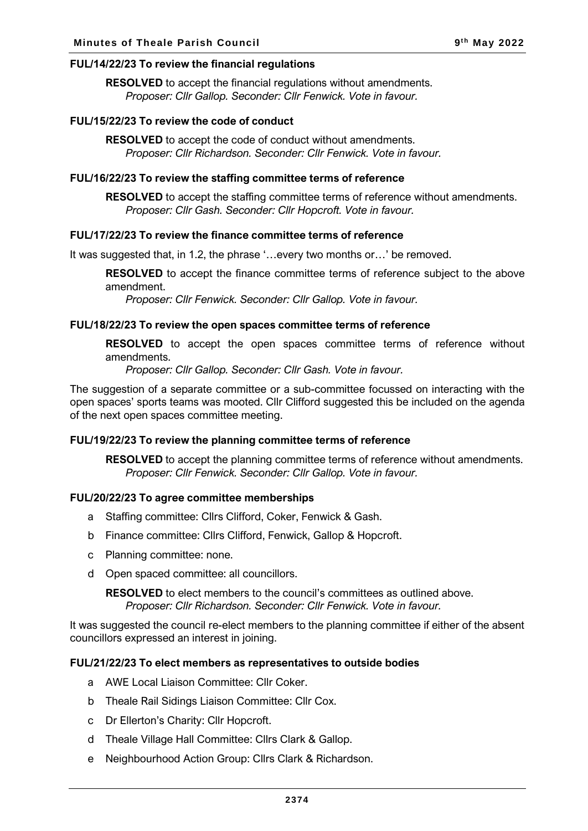#### **FUL/14/22/23 To review the financial regulations**

**RESOLVED** to accept the financial regulations without amendments. *Proposer: Cllr Gallop. Seconder: Cllr Fenwick. Vote in favour.*

#### **FUL/15/22/23 To review the code of conduct**

**RESOLVED** to accept the code of conduct without amendments. *Proposer: Cllr Richardson. Seconder: Cllr Fenwick. Vote in favour.*

#### **FUL/16/22/23 To review the staffing committee terms of reference**

**RESOLVED** to accept the staffing committee terms of reference without amendments. *Proposer: Cllr Gash. Seconder: Cllr Hopcroft. Vote in favour.*

#### **FUL/17/22/23 To review the finance committee terms of reference**

It was suggested that, in 1.2, the phrase '…every two months or…' be removed.

**RESOLVED** to accept the finance committee terms of reference subject to the above amendment.

*Proposer: Cllr Fenwick. Seconder: Cllr Gallop. Vote in favour.*

#### **FUL/18/22/23 To review the open spaces committee terms of reference**

**RESOLVED** to accept the open spaces committee terms of reference without amendments.

*Proposer: Cllr Gallop. Seconder: Cllr Gash. Vote in favour.*

The suggestion of a separate committee or a sub-committee focussed on interacting with the open spaces' sports teams was mooted. Cllr Clifford suggested this be included on the agenda of the next open spaces committee meeting.

#### **FUL/19/22/23 To review the planning committee terms of reference**

**RESOLVED** to accept the planning committee terms of reference without amendments. *Proposer: Cllr Fenwick. Seconder: Cllr Gallop. Vote in favour.*

#### **FUL/20/22/23 To agree committee memberships**

- a Staffing committee: Cllrs Clifford, Coker, Fenwick & Gash.
- b Finance committee: Cllrs Clifford, Fenwick, Gallop & Hopcroft.
- c Planning committee: none.
- d Open spaced committee: all councillors.

**RESOLVED** to elect members to the council's committees as outlined above. *Proposer: Cllr Richardson. Seconder: Cllr Fenwick. Vote in favour.*

It was suggested the council re-elect members to the planning committee if either of the absent councillors expressed an interest in joining.

#### **FUL/21/22/23 To elect members as representatives to outside bodies**

- a AWE Local Liaison Committee: Cllr Coker.
- b Theale Rail Sidings Liaison Committee: Cllr Cox.
- c Dr Ellerton's Charity: Cllr Hopcroft.
- d Theale Village Hall Committee: Cllrs Clark & Gallop.
- e Neighbourhood Action Group: Cllrs Clark & Richardson.